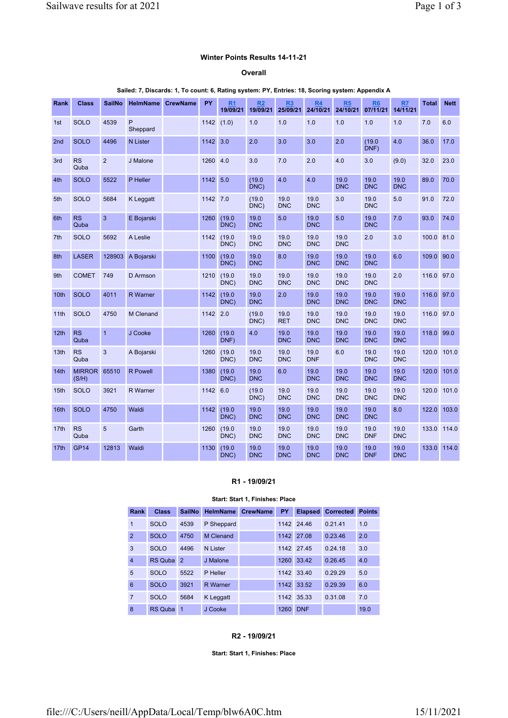## Winter Points Results 14-11-21

# **Overall**

Sailed: 7, Discards: 1, To count: 6, Rating system: PY, Entries: 18, Scoring system: Appendix A

| Rank             | <b>Class</b>           | <b>SailNo</b>  | <b>HelmName</b>  | <b>CrewName</b> | PY             | R <sub>1</sub><br>19/09/21 | R <sub>2</sub><br>19/09/21 | R <sub>3</sub><br>25/09/21 | R <sub>4</sub><br>24/10/21 | R <sub>5</sub><br>24/10/21 | R <sub>6</sub><br>07/11/21 | R7<br>14/11/21     | <b>Total</b> | <b>Nett</b> |
|------------------|------------------------|----------------|------------------|-----------------|----------------|----------------------------|----------------------------|----------------------------|----------------------------|----------------------------|----------------------------|--------------------|--------------|-------------|
| 1st              | SOLO                   | 4539           | P<br>Sheppard    |                 | $1142$ $(1.0)$ |                            | 1.0                        | 1.0                        | 1.0                        | 1.0                        | 1.0                        | 1.0                | 7.0          | 6.0         |
| 2 <sub>nd</sub>  | <b>SOLO</b>            | 4496           | <b>N</b> Lister  |                 | 1142 3.0       |                            | 2.0                        | 3.0                        | 3.0                        | 2.0                        | (19.0)<br>DNF)             | 4.0                | 36.0         | 17.0        |
| 3rd              | RS<br>Quba             | $\overline{2}$ | J Malone         |                 | 1260           | 4.0                        | 3.0                        | 7.0                        | 2.0                        | 4.0                        | 3.0                        | (9.0)              | 32.0         | 23.0        |
| 4th              | <b>SOLO</b>            | 5522           | P Heller         |                 | 1142 5.0       |                            | (19.0)<br>DNC)             | 4.0                        | 4.0                        | 19.0<br><b>DNC</b>         | 19.0<br><b>DNC</b>         | 19.0<br><b>DNC</b> | 89.0         | 70.0        |
| 5th              | SOLO                   | 5684           | <b>K</b> Leggatt |                 | 1142 7.0       |                            | (19.0)<br>DNC)             | 19.0<br><b>DNC</b>         | 19.0<br><b>DNC</b>         | 3.0                        | 19.0<br><b>DNC</b>         | 5.0                | 91.0         | 72.0        |
| 6th              | <b>RS</b><br>Quba      | $\overline{3}$ | E Bojarski       |                 | 1260           | (19.0)<br>DNC)             | 19.0<br><b>DNC</b>         | 5.0                        | 19.0<br><b>DNC</b>         | 5.0                        | 19.0<br><b>DNC</b>         | 7.0                | 93.0         | 74.0        |
| 7 <sup>th</sup>  | <b>SOLO</b>            | 5692           | A Leslie         |                 | 1142           | (19.0)<br>DNC)             | 19.0<br><b>DNC</b>         | 19.0<br><b>DNC</b>         | 19.0<br><b>DNC</b>         | 19.0<br><b>DNC</b>         | 2.0                        | 3.0                | 100.0        | 81.0        |
| 8th              | <b>LASER</b>           | 128903         | A Bojarski       |                 | 1100           | (19.0)<br>DNC)             | 19.0<br><b>DNC</b>         | 8.0                        | 19.0<br><b>DNC</b>         | 19.0<br><b>DNC</b>         | 19.0<br><b>DNC</b>         | 6.0                | 109.0        | 90.0        |
| 9th              | <b>COMET</b>           | 749            | D Armson         |                 | 1210           | (19.0)<br>DNC)             | 19.0<br><b>DNC</b>         | 19.0<br><b>DNC</b>         | 19.0<br><b>DNC</b>         | 19.0<br><b>DNC</b>         | 19.0<br><b>DNC</b>         | 2.0                | 116.0 97.0   |             |
| 10th             | <b>SOLO</b>            | 4011           | <b>R</b> Warner  |                 | 1142           | (19.0)<br>DNC)             | 19.0<br><b>DNC</b>         | 2.0                        | 19.0<br><b>DNC</b>         | 19.0<br><b>DNC</b>         | 19.0<br><b>DNC</b>         | 19.0<br><b>DNC</b> | 116.0        | 97.0        |
| 11th             | SOLO                   | 4750           | M Clenand        |                 | 1142 2.0       |                            | (19.0)<br>DNC)             | 19.0<br><b>RET</b>         | 19.0<br><b>DNC</b>         | 19.0<br><b>DNC</b>         | 19.0<br><b>DNC</b>         | 19.0<br><b>DNC</b> | 116.0 97.0   |             |
| 12 <sub>th</sub> | RS<br>Quba             | $\overline{1}$ | J Cooke          |                 | 1260           | (19.0)<br>DNF)             | 4.0                        | 19.0<br><b>DNC</b>         | 19.0<br><b>DNC</b>         | 19.0<br><b>DNC</b>         | 19.0<br><b>DNC</b>         | 19.0<br><b>DNC</b> | 118.0        | 99.0        |
| 13th             | <b>RS</b><br>Quba      | $\overline{3}$ | A Bojarski       |                 | 1260           | (19.0)<br>DNC)             | 19.0<br><b>DNC</b>         | 19.0<br><b>DNC</b>         | 19.0<br><b>DNF</b>         | 6.0                        | 19.0<br><b>DNC</b>         | 19.0<br><b>DNC</b> | 120.0        | 101.0       |
| 14th             | <b>MIRROR</b><br>(S/H) | 65510          | <b>R</b> Powell  |                 | 1380           | (19.0)<br>DNC)             | 19.0<br><b>DNC</b>         | 6.0                        | 19.0<br><b>DNC</b>         | 19.0<br><b>DNC</b>         | 19.0<br><b>DNC</b>         | 19.0<br><b>DNC</b> | 120.0        | 101.0       |
| 15th             | SOLO                   | 3921           | <b>R</b> Warner  |                 | 1142 6.0       |                            | (19.0)<br>DNC)             | 19.0<br><b>DNC</b>         | 19.0<br><b>DNC</b>         | 19.0<br><b>DNC</b>         | 19.0<br><b>DNC</b>         | 19.0<br><b>DNC</b> | 120.0        | 101.0       |
| 16th             | <b>SOLO</b>            | 4750           | Waldi            |                 | 1142           | (19.0)<br>DNC)             | 19.0<br><b>DNC</b>         | 19.0<br><b>DNC</b>         | 19.0<br><b>DNC</b>         | 19.0<br><b>DNC</b>         | 19.0<br><b>DNC</b>         | 8.0                | 122.0        | 103.0       |
| 17th             | <b>RS</b><br>Quba      | 5              | Garth            |                 | 1260           | (19.0)<br>DNC)             | 19.0<br><b>DNC</b>         | 19.0<br><b>DNC</b>         | 19.0<br><b>DNC</b>         | 19.0<br><b>DNC</b>         | 19.0<br><b>DNF</b>         | 19.0<br><b>DNC</b> | 133.0 114.0  |             |
| 17th             | <b>GP14</b>            | 12813          | Waldi            |                 | 1130           | (19.0)<br>DNC)             | 19.0<br><b>DNC</b>         | 19.0<br><b>DNC</b>         | 19.0<br><b>DNC</b>         | 19.0<br><b>DNC</b>         | 19.0<br><b>DNF</b>         | 19.0<br><b>DNC</b> | 133.0        | 114.0       |

#### R1 - 19/09/21

### Start: Start 1, Finishes: Place

| Rank            | <b>Class</b> | <b>SailNo</b>  | <b>HelmName</b> | <b>CrewName</b> | PY   | <b>Elapsed</b> | <b>Corrected</b> | <b>Points</b> |
|-----------------|--------------|----------------|-----------------|-----------------|------|----------------|------------------|---------------|
| $\mathbf{1}$    | <b>SOLO</b>  | 4539           | P Sheppard      |                 |      | 1142 24.46     | 0.21.41          | 1.0           |
| 2               | <b>SOLO</b>  | 4750           | M Clenand       |                 | 1142 | 27.08          | 0.23.46          | 2.0           |
| 3               | <b>SOLO</b>  | 4496           | <b>N</b> Lister |                 |      | 1142 27.45     | 0.24.18          | 3.0           |
| $\overline{4}$  | RS Quba      | $\overline{2}$ | J Malone        |                 | 1260 | 33.42          | 0.26.45          | 4.0           |
| 5               | <b>SOLO</b>  | 5522           | P Heller        |                 | 1142 | 33.40          | 0.29.29          | 5.0           |
| $6\phantom{1}6$ | <b>SOLO</b>  | 3921           | <b>R</b> Warner |                 | 1142 | 33.52          | 0.29.39          | 6.0           |
| $\overline{7}$  | <b>SOLO</b>  | 5684           | K Leggatt       |                 | 1142 | 35.33          | 0.31.08          | 7.0           |
| 8               | RS Ouba      | $\overline{1}$ | J Cooke         |                 | 1260 | <b>DNF</b>     |                  | 19.0          |

### R2 - 19/09/21

Start: Start 1, Finishes: Place

file:///C:/Users/neill/AppData/Local/Temp/blw6A0C.htm 15/11/2021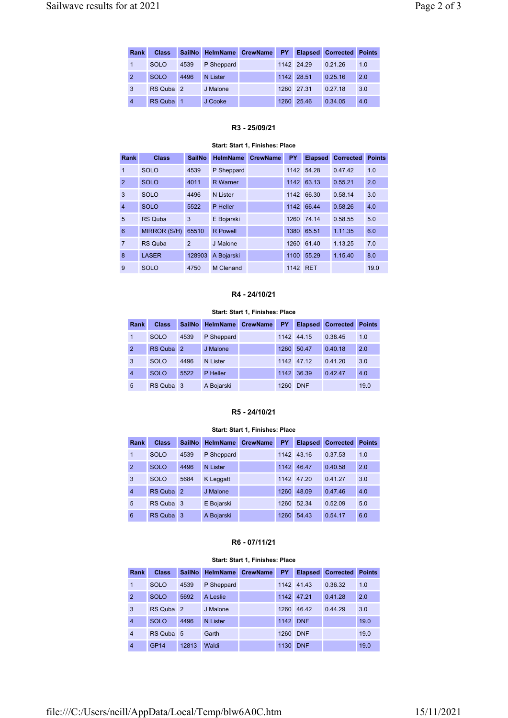| Rank           | <b>Class</b> |      | SailNo HelmName CrewName | <b>PY</b> |            | <b>Elapsed Corrected</b> | <b>Points</b> |
|----------------|--------------|------|--------------------------|-----------|------------|--------------------------|---------------|
|                | <b>SOLO</b>  | 4539 | P Sheppard               |           | 1142 24.29 | 0.21.26                  | 1.0           |
| $\overline{2}$ | <b>SOLO</b>  | 4496 | <b>N</b> Lister          |           | 1142 28.51 | 0.25.16                  | 2.0           |
| 3              | RS Quba 2    |      | J Malone                 |           | 1260 27.31 | 0.27.18                  | 3.0           |
| $\overline{4}$ | RS Quba 1    |      | J Cooke                  | 1260      | 25.46      | 0.34.05                  | 4.0           |

### R3 - 25/09/21

#### Start: Start 1, Finishes: Place

| Rank           | <b>Class</b> | <b>SailNo</b>  | <b>HelmName</b> | <b>CrewName</b> | PY       | <b>Elapsed</b> | <b>Corrected</b> | <b>Points</b> |
|----------------|--------------|----------------|-----------------|-----------------|----------|----------------|------------------|---------------|
| $\mathbf{1}$   | <b>SOLO</b>  | 4539           | P Sheppard      |                 | 1142     | 54.28          | 0.47.42          | 1.0           |
| 2              | <b>SOLO</b>  | 4011           | <b>R</b> Warner |                 | 1142     | 63.13          | 0.55.21          | 2.0           |
| 3              | <b>SOLO</b>  | 4496           | <b>N</b> Lister |                 | 1142     | 66.30          | 0.58.14          | 3.0           |
| $\overline{4}$ | <b>SOLO</b>  | 5522           | P Heller        |                 | 1142     | 66.44          | 0.58.26          | 4.0           |
| 5              | RS Quba      | 3              | E Bojarski      |                 | 1260     | 74.14          | 0.58.55          | 5.0           |
| 6              | MIRROR (S/H) | 65510          | <b>R</b> Powell |                 | 1380     | 65.51          | 1.11.35          | 6.0           |
| $\overline{7}$ | RS Quba      | $\overline{2}$ | J Malone        |                 | 1260     | 61.40          | 1.13.25          | 7.0           |
| 8              | <b>LASER</b> | 128903         | A Bojarski      |                 | 1100     | 55.29          | 1.15.40          | 8.0           |
| 9              | <b>SOLO</b>  | 4750           | M Clenand       |                 | 1142 RET |                |                  | 19.0          |

### R4 - 24/10/21

### Start: Start 1, Finishes: Place

| <b>Rank</b>    | <b>Class</b> | <b>SailNo</b>  | <b>HelmName</b> | <b>CrewName</b> | <b>PY</b> | <b>Elapsed</b> | <b>Corrected</b> | <b>Points</b> |
|----------------|--------------|----------------|-----------------|-----------------|-----------|----------------|------------------|---------------|
| 1              | SOLO         | 4539           | P Sheppard      |                 | 1142      | 44.15          | 0.38.45          | 1.0           |
| 2              | RS Quba      | $\overline{2}$ | J Malone        |                 | 1260      | 50.47          | 0.40.18          | 2.0           |
| 3              | SOLO         | 4496           | N Lister        |                 |           | 1142 47.12     | 0.41.20          | 3.0           |
| $\overline{4}$ | <b>SOLO</b>  | 5522           | P Heller        |                 |           | 1142 36.39     | 0.42.47          | 4.0           |
| 5              | RS Quba 3    |                | A Bojarski      |                 | 1260      | <b>DNF</b>     |                  | 19.0          |

## R5 - 24/10/21

### Start: Start 1, Finishes: Place

| Rank           | <b>Class</b> | <b>SailNo</b> | <b>HelmName</b> | <b>CrewName</b> | <b>PY</b> | <b>Elapsed</b> | <b>Corrected</b> | <b>Points</b> |
|----------------|--------------|---------------|-----------------|-----------------|-----------|----------------|------------------|---------------|
| 1              | SOLO         | 4539          | P Sheppard      |                 | 1142      | 43.16          | 0.37.53          | 1.0           |
| 2              | <b>SOLO</b>  | 4496          | N Lister        |                 | 1142      | 46.47          | 0.40.58          | 2.0           |
| 3              | SOLO         | 5684          | K Leggatt       |                 | 1142      | 47.20          | 0.41.27          | 3.0           |
| $\overline{4}$ | RS Quba 2    |               | J Malone        |                 | 1260      | 48.09          | 0.47.46          | 4.0           |
| 5              | RS Quba 3    |               | E Bojarski      |                 | 1260      | 52.34          | 0.52.09          | 5.0           |
| 6              | RS Quba 3    |               | A Bojarski      |                 | 1260      | 54.43          | 0.54.17          | 6.0           |

## R6 - 07/11/21

### Start: Start 1, Finishes: Place

| Rank           | <b>Class</b> | <b>SailNo</b> | <b>HelmName</b> | <b>CrewName</b> | <b>PY</b> | <b>Elapsed</b> | <b>Corrected</b> | <b>Points</b> |
|----------------|--------------|---------------|-----------------|-----------------|-----------|----------------|------------------|---------------|
| 1              | SOLO         | 4539          | P Sheppard      |                 |           | 1142 41.43     | 0.36.32          | 1.0           |
| 2              | <b>SOLO</b>  | 5692          | A Leslie        |                 | 1142      | 47.21          | 0.41.28          | 2.0           |
| 3              | RS Quba 2    |               | J Malone        |                 | 1260      | 46.42          | 0.44.29          | 3.0           |
| $\overline{4}$ | <b>SOLO</b>  | 4496          | <b>N</b> Lister |                 | 1142      | <b>DNF</b>     |                  | 19.0          |
| $\overline{4}$ | RS Quba 5    |               | Garth           |                 | 1260      | <b>DNF</b>     |                  | 19.0          |
| $\overline{4}$ | <b>GP14</b>  | 12813         | Waldi           |                 | 1130      | <b>DNF</b>     |                  | 19.0          |